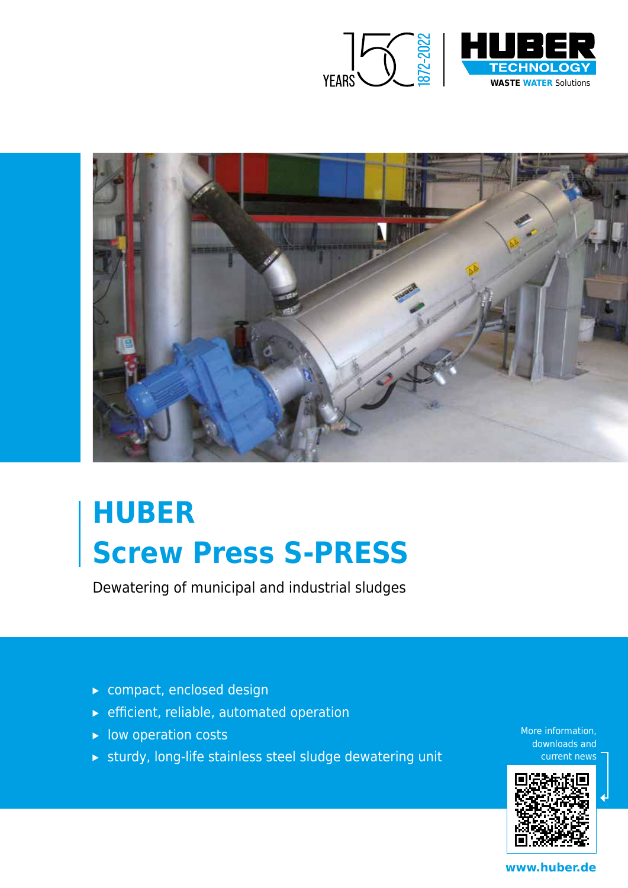



## **HUBER Screw Press S-PRESS**

Dewatering of municipal and industrial sludges

- ▸ compact, enclosed design
- ▸ efficient, reliable, automated operation
- ▸ low operation costs
- ▸ sturdy, long-life stainless steel sludge dewatering unit

More information, downloads and current news



**www.huber.de**